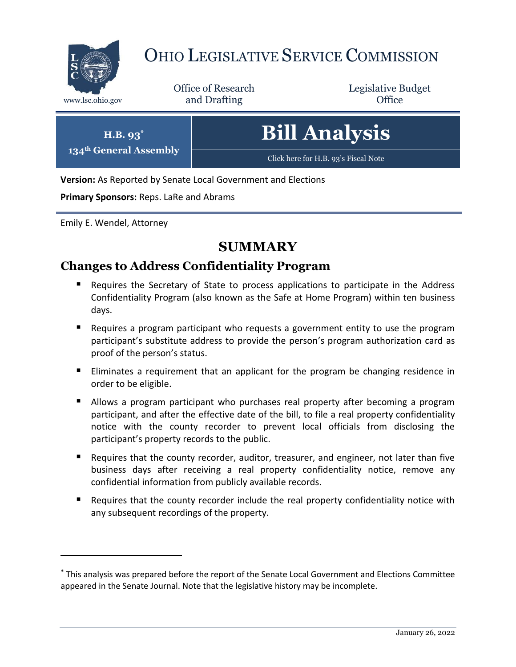

# OHIO LEGISLATIVE SERVICE COMMISSION

Office of Research www.lsc.ohio.gov **and Drafting Office** 

Legislative Budget

| $H.B. 93^*$            | <b>Bill Analysis</b>                 |
|------------------------|--------------------------------------|
| 134th General Assembly | Click here for H.B. 93's Fiscal Note |

**Version:** As Reported by Senate Local Government and Elections

**Primary Sponsors:** Reps. LaRe and Abrams

Emily E. Wendel, Attorney

 $\overline{a}$ 

### **SUMMARY**

### **Changes to Address Confidentiality Program**

- Requires the Secretary of State to process applications to participate in the Address Confidentiality Program (also known as the Safe at Home Program) within ten business days.
- Requires a program participant who requests a government entity to use the program participant's substitute address to provide the person's program authorization card as proof of the person's status.
- Eliminates a requirement that an applicant for the program be changing residence in order to be eligible.
- **Allows a program participant who purchases real property after becoming a program** participant, and after the effective date of the bill, to file a real property confidentiality notice with the county recorder to prevent local officials from disclosing the participant's property records to the public.
- **Requires that the county recorder, auditor, treasurer, and engineer, not later than five** business days after receiving a real property confidentiality notice, remove any confidential information from publicly available records.
- Requires that the county recorder include the real property confidentiality notice with any subsequent recordings of the property.

<sup>\*</sup> This analysis was prepared before the report of the Senate Local Government and Elections Committee appeared in the Senate Journal. Note that the legislative history may be incomplete.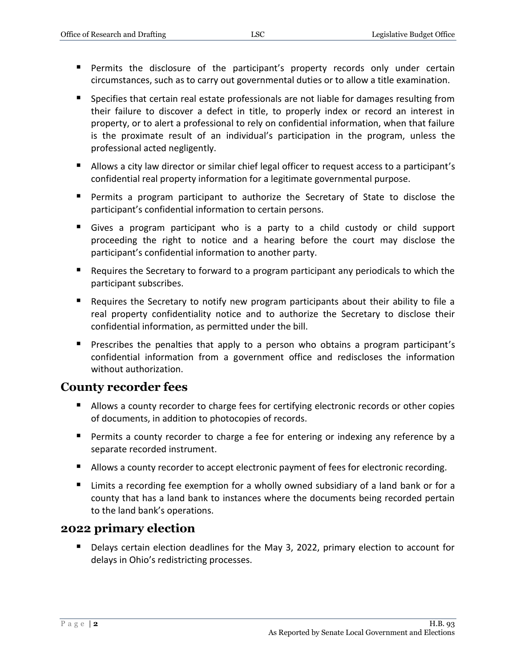- Permits the disclosure of the participant's property records only under certain circumstances, such as to carry out governmental duties or to allow a title examination.
- Specifies that certain real estate professionals are not liable for damages resulting from their failure to discover a defect in title, to properly index or record an interest in property, or to alert a professional to rely on confidential information, when that failure is the proximate result of an individual's participation in the program, unless the professional acted negligently.
- Allows a city law director or similar chief legal officer to request access to a participant's confidential real property information for a legitimate governmental purpose.
- Permits a program participant to authorize the Secretary of State to disclose the participant's confidential information to certain persons.
- Gives a program participant who is a party to a child custody or child support proceeding the right to notice and a hearing before the court may disclose the participant's confidential information to another party.
- Requires the Secretary to forward to a program participant any periodicals to which the participant subscribes.
- Requires the Secretary to notify new program participants about their ability to file a real property confidentiality notice and to authorize the Secretary to disclose their confidential information, as permitted under the bill.
- **Prescribes the penalties that apply to a person who obtains a program participant's** confidential information from a government office and rediscloses the information without authorization.

#### **County recorder fees**

- Allows a county recorder to charge fees for certifying electronic records or other copies of documents, in addition to photocopies of records.
- **Permits a county recorder to charge a fee for entering or indexing any reference by a** separate recorded instrument.
- Allows a county recorder to accept electronic payment of fees for electronic recording.
- Limits a recording fee exemption for a wholly owned subsidiary of a land bank or for a county that has a land bank to instances where the documents being recorded pertain to the land bank's operations.

#### **2022 primary election**

 Delays certain election deadlines for the May 3, 2022, primary election to account for delays in Ohio's redistricting processes.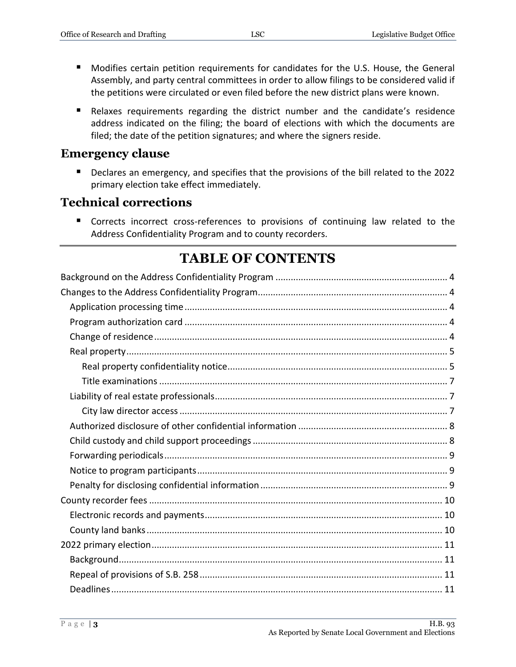- Modifies certain petition requirements for candidates for the U.S. House, the General Assembly, and party central committees in order to allow filings to be considered valid if the petitions were circulated or even filed before the new district plans were known.
- Relaxes requirements regarding the district number and the candidate's residence address indicated on the filing; the board of elections with which the documents are filed; the date of the petition signatures; and where the signers reside.

#### **Emergency clause**

 Declares an emergency, and specifies that the provisions of the bill related to the 2022 primary election take effect immediately.

#### **Technical corrections**

**Corrects incorrect cross-references to provisions of continuing law related to the** Address Confidentiality Program and to county recorders.

### **TABLE OF CONTENTS**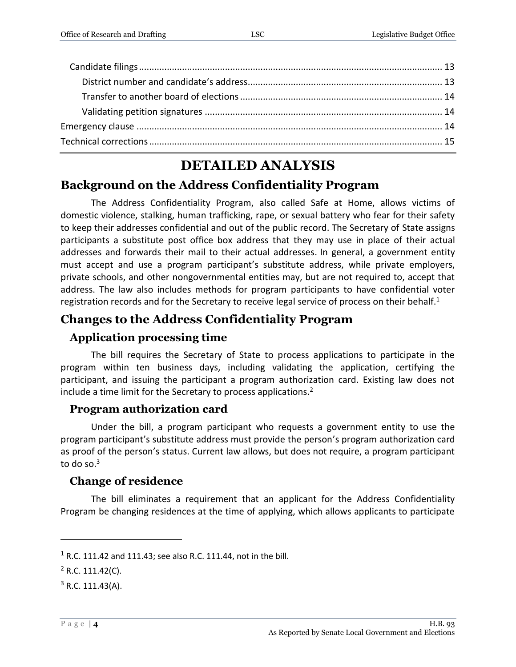### **DETAILED ANALYSIS**

### <span id="page-3-0"></span>**Background on the Address Confidentiality Program**

The Address Confidentiality Program, also called Safe at Home, allows victims of domestic violence, stalking, human trafficking, rape, or sexual battery who fear for their safety to keep their addresses confidential and out of the public record. The Secretary of State assigns participants a substitute post office box address that they may use in place of their actual addresses and forwards their mail to their actual addresses. In general, a government entity must accept and use a program participant's substitute address, while private employers, private schools, and other nongovernmental entities may, but are not required to, accept that address. The law also includes methods for program participants to have confidential voter registration records and for the Secretary to receive legal service of process on their behalf.<sup>1</sup>

### <span id="page-3-1"></span>**Changes to the Address Confidentiality Program**

#### <span id="page-3-2"></span>**Application processing time**

The bill requires the Secretary of State to process applications to participate in the program within ten business days, including validating the application, certifying the participant, and issuing the participant a program authorization card. Existing law does not include a time limit for the Secretary to process applications.<sup>2</sup>

#### <span id="page-3-3"></span>**Program authorization card**

Under the bill, a program participant who requests a government entity to use the program participant's substitute address must provide the person's program authorization card as proof of the person's status. Current law allows, but does not require, a program participant to do so. $3$ 

#### <span id="page-3-4"></span>**Change of residence**

The bill eliminates a requirement that an applicant for the Address Confidentiality Program be changing residences at the time of applying, which allows applicants to participate

 $1$  R.C. 111.42 and 111.43; see also R.C. 111.44, not in the bill.

 $2$  R.C. 111.42(C).

 $3$  R.C. 111.43(A).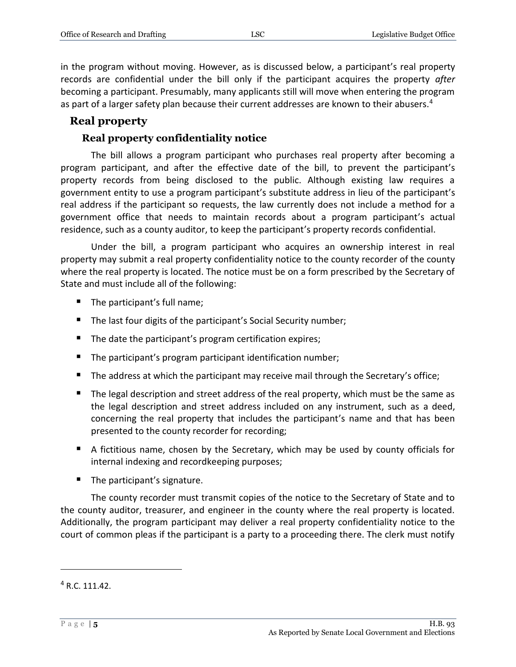in the program without moving. However, as is discussed below, a participant's real property records are confidential under the bill only if the participant acquires the property *after*  becoming a participant. Presumably, many applicants still will move when entering the program as part of a larger safety plan because their current addresses are known to their abusers.<sup>4</sup>

#### <span id="page-4-0"></span>**Real property**

#### **Real property confidentiality notice**

<span id="page-4-1"></span>The bill allows a program participant who purchases real property after becoming a program participant, and after the effective date of the bill, to prevent the participant's property records from being disclosed to the public. Although existing law requires a government entity to use a program participant's substitute address in lieu of the participant's real address if the participant so requests, the law currently does not include a method for a government office that needs to maintain records about a program participant's actual residence, such as a county auditor, to keep the participant's property records confidential.

Under the bill, a program participant who acquires an ownership interest in real property may submit a real property confidentiality notice to the county recorder of the county where the real property is located. The notice must be on a form prescribed by the Secretary of State and must include all of the following:

- The participant's full name;
- The last four digits of the participant's Social Security number;
- The date the participant's program certification expires;
- The participant's program participant identification number;
- $\blacksquare$  The address at which the participant may receive mail through the Secretary's office;
- The legal description and street address of the real property, which must be the same as the legal description and street address included on any instrument, such as a deed, concerning the real property that includes the participant's name and that has been presented to the county recorder for recording;
- A fictitious name, chosen by the Secretary, which may be used by county officials for internal indexing and recordkeeping purposes;
- $\blacksquare$  The participant's signature.

The county recorder must transmit copies of the notice to the Secretary of State and to the county auditor, treasurer, and engineer in the county where the real property is located. Additionally, the program participant may deliver a real property confidentiality notice to the court of common pleas if the participant is a party to a proceeding there. The clerk must notify

 $4 R.C. 111.42.$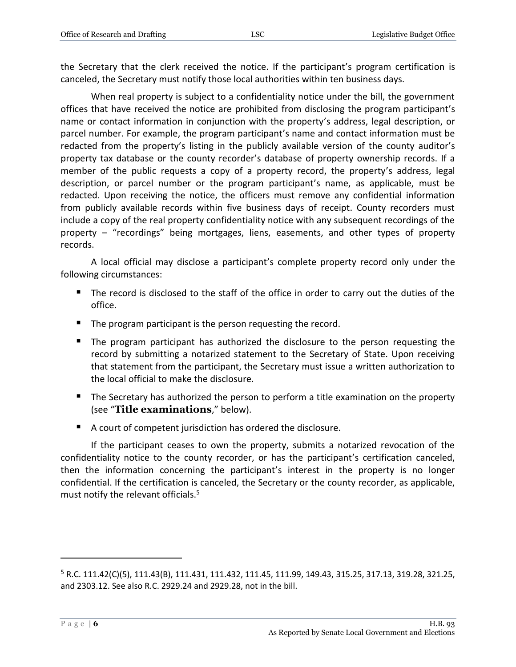the Secretary that the clerk received the notice. If the participant's program certification is canceled, the Secretary must notify those local authorities within ten business days.

When real property is subject to a confidentiality notice under the bill, the government offices that have received the notice are prohibited from disclosing the program participant's name or contact information in conjunction with the property's address, legal description, or parcel number. For example, the program participant's name and contact information must be redacted from the property's listing in the publicly available version of the county auditor's property tax database or the county recorder's database of property ownership records. If a member of the public requests a copy of a property record, the property's address, legal description, or parcel number or the program participant's name, as applicable, must be redacted. Upon receiving the notice, the officers must remove any confidential information from publicly available records within five business days of receipt. County recorders must include a copy of the real property confidentiality notice with any subsequent recordings of the property – "recordings" being mortgages, liens, easements, and other types of property records.

A local official may disclose a participant's complete property record only under the following circumstances:

- The record is disclosed to the staff of the office in order to carry out the duties of the office.
- The program participant is the person requesting the record.
- The program participant has authorized the disclosure to the person requesting the record by submitting a notarized statement to the Secretary of State. Upon receiving that statement from the participant, the Secretary must issue a written authorization to the local official to make the disclosure.
- The Secretary has authorized the person to perform a title examination on the property (see "**Title examinations**," below).
- A court of competent jurisdiction has ordered the disclosure.

If the participant ceases to own the property, submits a notarized revocation of the confidentiality notice to the county recorder, or has the participant's certification canceled, then the information concerning the participant's interest in the property is no longer confidential. If the certification is canceled, the Secretary or the county recorder, as applicable, must notify the relevant officials.<sup>5</sup>

<sup>5</sup> R.C. 111.42(C)(5), 111.43(B), 111.431, 111.432, 111.45, 111.99, 149.43, 315.25, 317.13, 319.28, 321.25, and 2303.12. See also R.C. 2929.24 and 2929.28, not in the bill.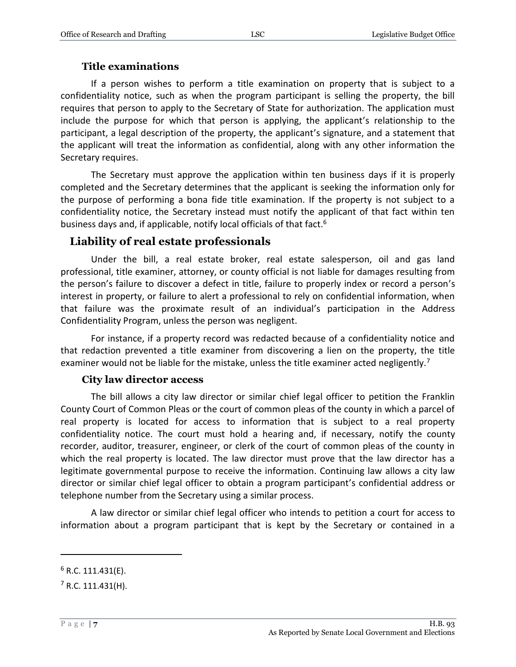#### **Title examinations**

<span id="page-6-0"></span>If a person wishes to perform a title examination on property that is subject to a confidentiality notice, such as when the program participant is selling the property, the bill requires that person to apply to the Secretary of State for authorization. The application must include the purpose for which that person is applying, the applicant's relationship to the participant, a legal description of the property, the applicant's signature, and a statement that the applicant will treat the information as confidential, along with any other information the Secretary requires.

The Secretary must approve the application within ten business days if it is properly completed and the Secretary determines that the applicant is seeking the information only for the purpose of performing a bona fide title examination. If the property is not subject to a confidentiality notice, the Secretary instead must notify the applicant of that fact within ten business days and, if applicable, notify local officials of that fact.<sup>6</sup>

#### <span id="page-6-1"></span>**Liability of real estate professionals**

Under the bill, a real estate broker, real estate salesperson, oil and gas land professional, title examiner, attorney, or county official is not liable for damages resulting from the person's failure to discover a defect in title, failure to properly index or record a person's interest in property, or failure to alert a professional to rely on confidential information, when that failure was the proximate result of an individual's participation in the Address Confidentiality Program, unless the person was negligent.

For instance, if a property record was redacted because of a confidentiality notice and that redaction prevented a title examiner from discovering a lien on the property, the title examiner would not be liable for the mistake, unless the title examiner acted negligently.<sup>7</sup>

#### **City law director access**

<span id="page-6-2"></span>The bill allows a city law director or similar chief legal officer to petition the Franklin County Court of Common Pleas or the court of common pleas of the county in which a parcel of real property is located for access to information that is subject to a real property confidentiality notice. The court must hold a hearing and, if necessary, notify the county recorder, auditor, treasurer, engineer, or clerk of the court of common pleas of the county in which the real property is located. The law director must prove that the law director has a legitimate governmental purpose to receive the information. Continuing law allows a city law director or similar chief legal officer to obtain a program participant's confidential address or telephone number from the Secretary using a similar process.

A law director or similar chief legal officer who intends to petition a court for access to information about a program participant that is kept by the Secretary or contained in a

 $6$  R.C. 111.431(E).

 $<sup>7</sup>$  R.C. 111.431(H).</sup>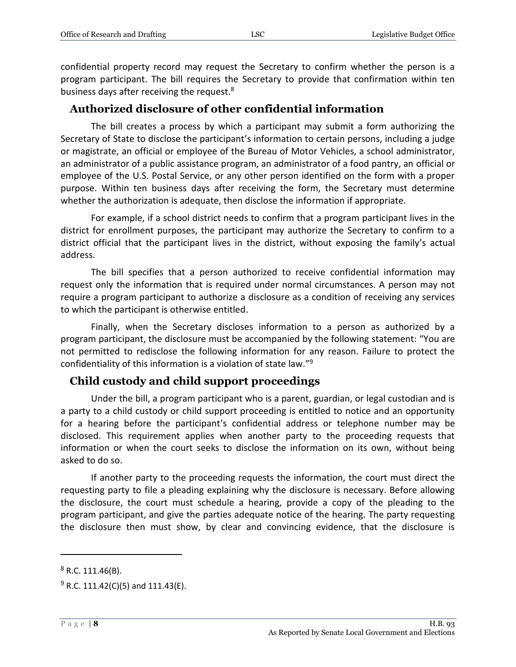confidential property record may request the Secretary to confirm whether the person is a program participant. The bill requires the Secretary to provide that confirmation within ten business days after receiving the request.<sup>8</sup>

#### <span id="page-7-0"></span>**Authorized disclosure of other confidential information**

The bill creates a process by which a participant may submit a form authorizing the Secretary of State to disclose the participant's information to certain persons, including a judge or magistrate, an official or employee of the Bureau of Motor Vehicles, a school administrator, an administrator of a public assistance program, an administrator of a food pantry, an official or employee of the U.S. Postal Service, or any other person identified on the form with a proper purpose. Within ten business days after receiving the form, the Secretary must determine whether the authorization is adequate, then disclose the information if appropriate.

For example, if a school district needs to confirm that a program participant lives in the district for enrollment purposes, the participant may authorize the Secretary to confirm to a district official that the participant lives in the district, without exposing the family's actual address.

The bill specifies that a person authorized to receive confidential information may request only the information that is required under normal circumstances. A person may not require a program participant to authorize a disclosure as a condition of receiving any services to which the participant is otherwise entitled.

Finally, when the Secretary discloses information to a person as authorized by a program participant, the disclosure must be accompanied by the following statement: "You are not permitted to redisclose the following information for any reason. Failure to protect the confidentiality of this information is a violation of state law." 9

#### <span id="page-7-1"></span>**Child custody and child support proceedings**

Under the bill, a program participant who is a parent, guardian, or legal custodian and is a party to a child custody or child support proceeding is entitled to notice and an opportunity for a hearing before the participant's confidential address or telephone number may be disclosed. This requirement applies when another party to the proceeding requests that information or when the court seeks to disclose the information on its own, without being asked to do so.

If another party to the proceeding requests the information, the court must direct the requesting party to file a pleading explaining why the disclosure is necessary. Before allowing the disclosure, the court must schedule a hearing, provide a copy of the pleading to the program participant, and give the parties adequate notice of the hearing. The party requesting the disclosure then must show, by clear and convincing evidence, that the disclosure is

 $8$  R.C. 111.46(B).

 $9$  R.C. 111.42(C)(5) and 111.43(E).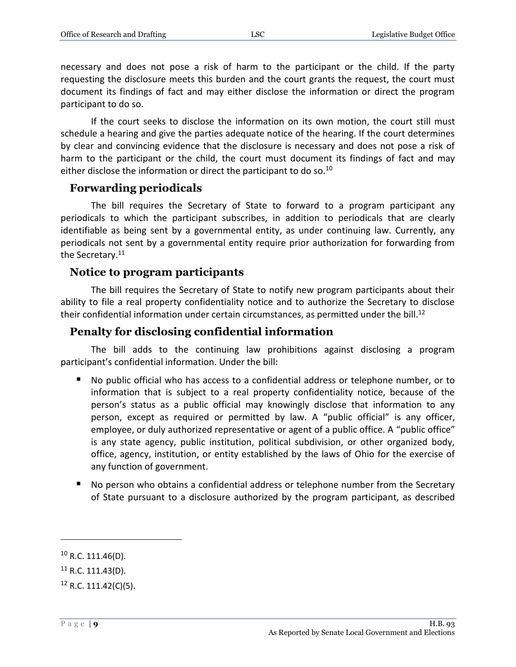necessary and does not pose a risk of harm to the participant or the child. If the party requesting the disclosure meets this burden and the court grants the request, the court must document its findings of fact and may either disclose the information or direct the program participant to do so.

If the court seeks to disclose the information on its own motion, the court still must schedule a hearing and give the parties adequate notice of the hearing. If the court determines by clear and convincing evidence that the disclosure is necessary and does not pose a risk of harm to the participant or the child, the court must document its findings of fact and may either disclose the information or direct the participant to do so.<sup>10</sup>

#### <span id="page-8-0"></span>**Forwarding periodicals**

The bill requires the Secretary of State to forward to a program participant any periodicals to which the participant subscribes, in addition to periodicals that are clearly identifiable as being sent by a governmental entity, as under continuing law. Currently, any periodicals not sent by a governmental entity require prior authorization for forwarding from the Secretary.<sup>11</sup>

#### <span id="page-8-1"></span>**Notice to program participants**

The bill requires the Secretary of State to notify new program participants about their ability to file a real property confidentiality notice and to authorize the Secretary to disclose their confidential information under certain circumstances, as permitted under the bill.<sup>12</sup>

#### <span id="page-8-2"></span>**Penalty for disclosing confidential information**

The bill adds to the continuing law prohibitions against disclosing a program participant's confidential information. Under the bill:

- No public official who has access to a confidential address or telephone number, or to information that is subject to a real property confidentiality notice, because of the person's status as a public official may knowingly disclose that information to any person, except as required or permitted by law. A "public official" is any officer, employee, or duly authorized representative or agent of a public office. A "public office" is any state agency, public institution, political subdivision, or other organized body, office, agency, institution, or entity established by the laws of Ohio for the exercise of any function of government.
- No person who obtains a confidential address or telephone number from the Secretary of State pursuant to a disclosure authorized by the program participant, as described

 $10$  R.C. 111.46(D).

<sup>11</sup> R.C. 111.43(D).

 $12$  R.C. 111.42(C)(5).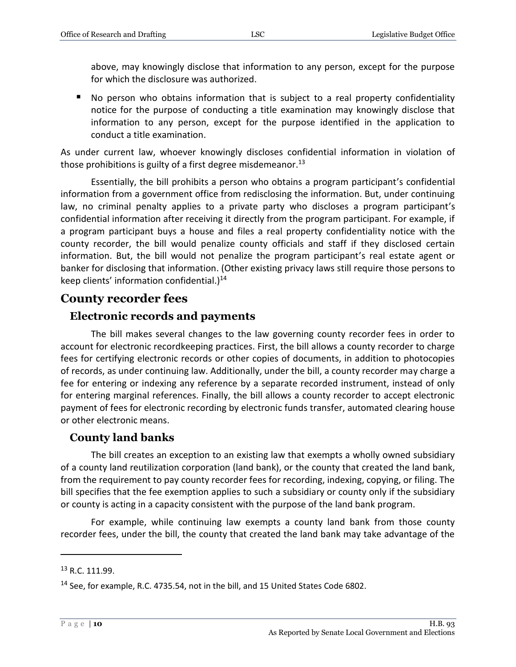above, may knowingly disclose that information to any person, except for the purpose for which the disclosure was authorized.

 No person who obtains information that is subject to a real property confidentiality notice for the purpose of conducting a title examination may knowingly disclose that information to any person, except for the purpose identified in the application to conduct a title examination.

As under current law, whoever knowingly discloses confidential information in violation of those prohibitions is guilty of a first degree misdemeanor.<sup>13</sup>

Essentially, the bill prohibits a person who obtains a program participant's confidential information from a government office from redisclosing the information. But, under continuing law, no criminal penalty applies to a private party who discloses a program participant's confidential information after receiving it directly from the program participant. For example, if a program participant buys a house and files a real property confidentiality notice with the county recorder, the bill would penalize county officials and staff if they disclosed certain information. But, the bill would not penalize the program participant's real estate agent or banker for disclosing that information. (Other existing privacy laws still require those persons to keep clients' information confidential.) $14$ 

### <span id="page-9-0"></span>**County recorder fees**

#### <span id="page-9-1"></span>**Electronic records and payments**

The bill makes several changes to the law governing county recorder fees in order to account for electronic recordkeeping practices. First, the bill allows a county recorder to charge fees for certifying electronic records or other copies of documents, in addition to photocopies of records, as under continuing law. Additionally, under the bill, a county recorder may charge a fee for entering or indexing any reference by a separate recorded instrument, instead of only for entering marginal references. Finally, the bill allows a county recorder to accept electronic payment of fees for electronic recording by electronic funds transfer, automated clearing house or other electronic means.

### <span id="page-9-2"></span>**County land banks**

The bill creates an exception to an existing law that exempts a wholly owned subsidiary of a county land reutilization corporation (land bank), or the county that created the land bank, from the requirement to pay county recorder fees for recording, indexing, copying, or filing. The bill specifies that the fee exemption applies to such a subsidiary or county only if the subsidiary or county is acting in a capacity consistent with the purpose of the land bank program.

For example, while continuing law exempts a county land bank from those county recorder fees, under the bill, the county that created the land bank may take advantage of the

<sup>13</sup> R.C. 111.99.

<sup>14</sup> See, for example, R.C. 4735.54, not in the bill, and 15 United States Code 6802.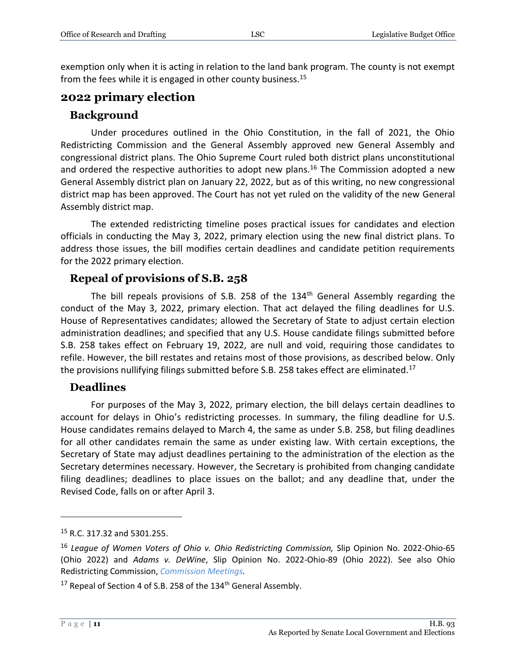exemption only when it is acting in relation to the land bank program. The county is not exempt from the fees while it is engaged in other county business.<sup>15</sup>

#### <span id="page-10-0"></span>**2022 primary election**

#### <span id="page-10-1"></span>**Background**

Under procedures outlined in the Ohio Constitution, in the fall of 2021, the Ohio Redistricting Commission and the General Assembly approved new General Assembly and congressional district plans. The Ohio Supreme Court ruled both district plans unconstitutional and ordered the respective authorities to adopt new plans.<sup>16</sup> The Commission adopted a new General Assembly district plan on January 22, 2022, but as of this writing, no new congressional district map has been approved. The Court has not yet ruled on the validity of the new General Assembly district map.

The extended redistricting timeline poses practical issues for candidates and election officials in conducting the May 3, 2022, primary election using the new final district plans. To address those issues, the bill modifies certain deadlines and candidate petition requirements for the 2022 primary election.

#### <span id="page-10-2"></span>**Repeal of provisions of S.B. 258**

The bill repeals provisions of S.B. 258 of the  $134<sup>th</sup>$  General Assembly regarding the conduct of the May 3, 2022, primary election. That act delayed the filing deadlines for U.S. House of Representatives candidates; allowed the Secretary of State to adjust certain election administration deadlines; and specified that any U.S. House candidate filings submitted before S.B. 258 takes effect on February 19, 2022, are null and void, requiring those candidates to refile. However, the bill restates and retains most of those provisions, as described below. Only the provisions nullifying filings submitted before S.B. 258 takes effect are eliminated.<sup>17</sup>

#### <span id="page-10-3"></span>**Deadlines**

For purposes of the May 3, 2022, primary election, the bill delays certain deadlines to account for delays in Ohio's redistricting processes. In summary, the filing deadline for U.S. House candidates remains delayed to March 4, the same as under S.B. 258, but filing deadlines for all other candidates remain the same as under existing law. With certain exceptions, the Secretary of State may adjust deadlines pertaining to the administration of the election as the Secretary determines necessary. However, the Secretary is prohibited from changing candidate filing deadlines; deadlines to place issues on the ballot; and any deadline that, under the Revised Code, falls on or after April 3.

<sup>15</sup> R.C. 317.32 and 5301.255.

<sup>&</sup>lt;sup>16</sup> League of Women Voters of Ohio v. Ohio Redistricting Commission, Slip Opinion No. 2022-Ohio-65 (Ohio 2022) and *Adams v. DeWine*, Slip Opinion No. 2022-Ohio-89 (Ohio 2022). See also Ohio Redistricting Commission, *[Commission Meetings.](https://www.redistricting.ohio.gov/meetings)*

<sup>&</sup>lt;sup>17</sup> Repeal of Section 4 of S.B. 258 of the  $134<sup>th</sup>$  General Assembly.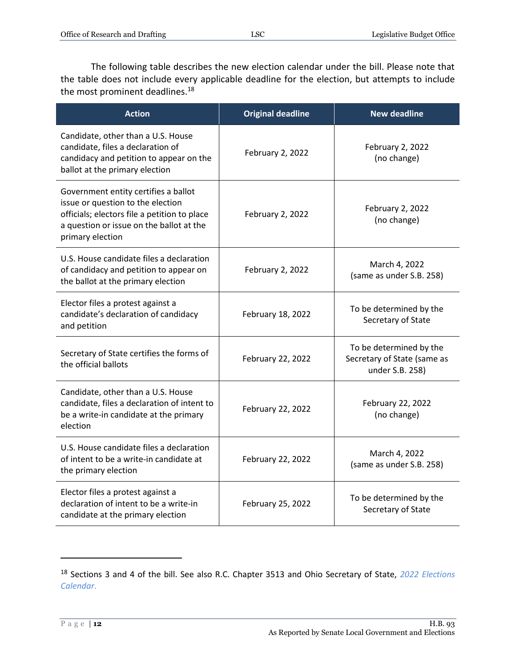The following table describes the new election calendar under the bill. Please note that the table does not include every applicable deadline for the election, but attempts to include the most prominent deadlines.<sup>18</sup>

| <b>Action</b>                                                                                                                                                                             | <b>Original deadline</b> | <b>New deadline</b>                                                       |
|-------------------------------------------------------------------------------------------------------------------------------------------------------------------------------------------|--------------------------|---------------------------------------------------------------------------|
| Candidate, other than a U.S. House<br>candidate, files a declaration of<br>candidacy and petition to appear on the<br>ballot at the primary election                                      | February 2, 2022         | February 2, 2022<br>(no change)                                           |
| Government entity certifies a ballot<br>issue or question to the election<br>officials; electors file a petition to place<br>a question or issue on the ballot at the<br>primary election | February 2, 2022         | February 2, 2022<br>(no change)                                           |
| U.S. House candidate files a declaration<br>of candidacy and petition to appear on<br>the ballot at the primary election                                                                  | February 2, 2022         | March 4, 2022<br>(same as under S.B. 258)                                 |
| Elector files a protest against a<br>candidate's declaration of candidacy<br>and petition                                                                                                 | February 18, 2022        | To be determined by the<br>Secretary of State                             |
| Secretary of State certifies the forms of<br>the official ballots                                                                                                                         | February 22, 2022        | To be determined by the<br>Secretary of State (same as<br>under S.B. 258) |
| Candidate, other than a U.S. House<br>candidate, files a declaration of intent to<br>be a write-in candidate at the primary<br>election                                                   | February 22, 2022        | February 22, 2022<br>(no change)                                          |
| U.S. House candidate files a declaration<br>of intent to be a write-in candidate at<br>the primary election                                                                               | February 22, 2022        | March 4, 2022<br>(same as under S.B. 258)                                 |
| Elector files a protest against a<br>declaration of intent to be a write-in<br>candidate at the primary election                                                                          | February 25, 2022        | To be determined by the<br>Secretary of State                             |

<sup>18</sup> Sections 3 and 4 of the bill. See also R.C. Chapter 3513 and Ohio Secretary of State, *[2022 Elections](https://www.ohiosos.gov/publications/2022-elections-calendar/)  [Calendar](https://www.ohiosos.gov/publications/2022-elections-calendar/)*.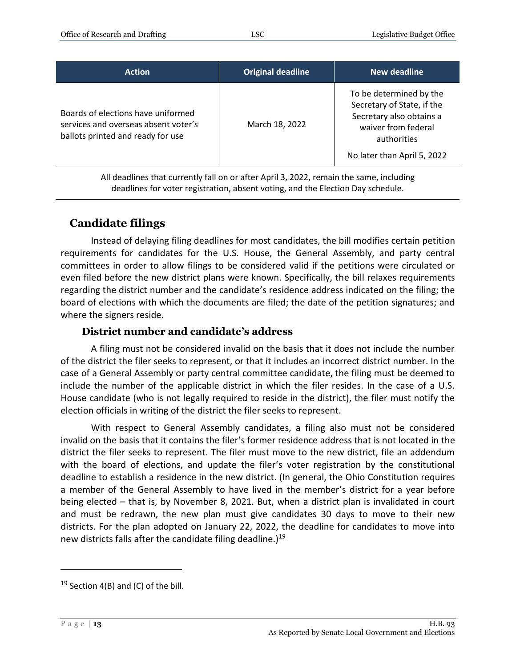| <b>Action</b>                                                                                                   | <b>Original deadline</b> | New deadline                                                                                                                                           |
|-----------------------------------------------------------------------------------------------------------------|--------------------------|--------------------------------------------------------------------------------------------------------------------------------------------------------|
| Boards of elections have uniformed<br>services and overseas absent voter's<br>ballots printed and ready for use | March 18, 2022           | To be determined by the<br>Secretary of State, if the<br>Secretary also obtains a<br>waiver from federal<br>authorities<br>No later than April 5, 2022 |

All deadlines that currently fall on or after April 3, 2022, remain the same, including deadlines for voter registration, absent voting, and the Election Day schedule.

#### <span id="page-12-0"></span>**Candidate filings**

Instead of delaying filing deadlines for most candidates, the bill modifies certain petition requirements for candidates for the U.S. House, the General Assembly, and party central committees in order to allow filings to be considered valid if the petitions were circulated or even filed before the new district plans were known. Specifically, the bill relaxes requirements regarding the district number and the candidate's residence address indicated on the filing; the board of elections with which the documents are filed; the date of the petition signatures; and where the signers reside.

#### **District number and candidate's address**

<span id="page-12-1"></span>A filing must not be considered invalid on the basis that it does not include the number of the district the filer seeks to represent, or that it includes an incorrect district number. In the case of a General Assembly or party central committee candidate, the filing must be deemed to include the number of the applicable district in which the filer resides. In the case of a U.S. House candidate (who is not legally required to reside in the district), the filer must notify the election officials in writing of the district the filer seeks to represent.

With respect to General Assembly candidates, a filing also must not be considered invalid on the basis that it contains the filer's former residence address that is not located in the district the filer seeks to represent. The filer must move to the new district, file an addendum with the board of elections, and update the filer's voter registration by the constitutional deadline to establish a residence in the new district. (In general, the Ohio Constitution requires a member of the General Assembly to have lived in the member's district for a year before being elected – that is, by November 8, 2021. But, when a district plan is invalidated in court and must be redrawn, the new plan must give candidates 30 days to move to their new districts. For the plan adopted on January 22, 2022, the deadline for candidates to move into new districts falls after the candidate filing deadline.)<sup>19</sup>

 $19$  Section 4(B) and (C) of the bill.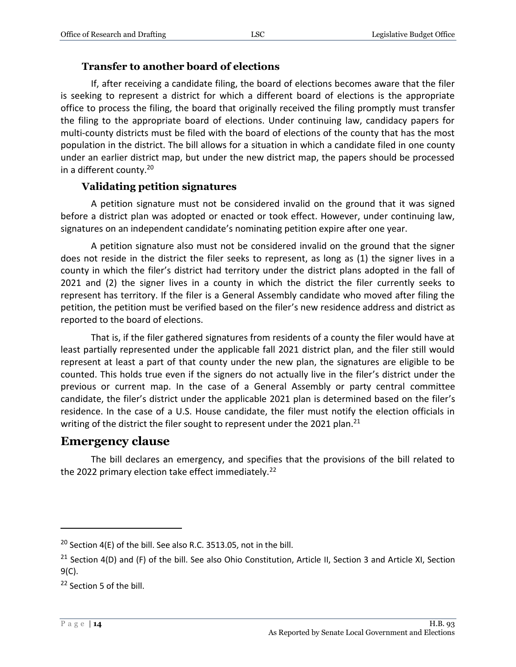#### **Transfer to another board of elections**

<span id="page-13-0"></span>If, after receiving a candidate filing, the board of elections becomes aware that the filer is seeking to represent a district for which a different board of elections is the appropriate office to process the filing, the board that originally received the filing promptly must transfer the filing to the appropriate board of elections. Under continuing law, candidacy papers for multi-county districts must be filed with the board of elections of the county that has the most population in the district. The bill allows for a situation in which a candidate filed in one county under an earlier district map, but under the new district map, the papers should be processed in a different county.<sup>20</sup>

#### **Validating petition signatures**

<span id="page-13-1"></span>A petition signature must not be considered invalid on the ground that it was signed before a district plan was adopted or enacted or took effect. However, under continuing law, signatures on an independent candidate's nominating petition expire after one year.

A petition signature also must not be considered invalid on the ground that the signer does not reside in the district the filer seeks to represent, as long as (1) the signer lives in a county in which the filer's district had territory under the district plans adopted in the fall of 2021 and (2) the signer lives in a county in which the district the filer currently seeks to represent has territory. If the filer is a General Assembly candidate who moved after filing the petition, the petition must be verified based on the filer's new residence address and district as reported to the board of elections.

That is, if the filer gathered signatures from residents of a county the filer would have at least partially represented under the applicable fall 2021 district plan, and the filer still would represent at least a part of that county under the new plan, the signatures are eligible to be counted. This holds true even if the signers do not actually live in the filer's district under the previous or current map. In the case of a General Assembly or party central committee candidate, the filer's district under the applicable 2021 plan is determined based on the filer's residence. In the case of a U.S. House candidate, the filer must notify the election officials in writing of the district the filer sought to represent under the 2021 plan.<sup>21</sup>

#### <span id="page-13-2"></span>**Emergency clause**

The bill declares an emergency, and specifies that the provisions of the bill related to the 2022 primary election take effect immediately.<sup>22</sup>

<sup>&</sup>lt;sup>20</sup> Section 4(E) of the bill. See also R.C. 3513.05, not in the bill.

<sup>&</sup>lt;sup>21</sup> Section 4(D) and (F) of the bill. See also Ohio Constitution, Article II, Section 3 and Article XI, Section 9(C).

<sup>&</sup>lt;sup>22</sup> Section 5 of the bill.